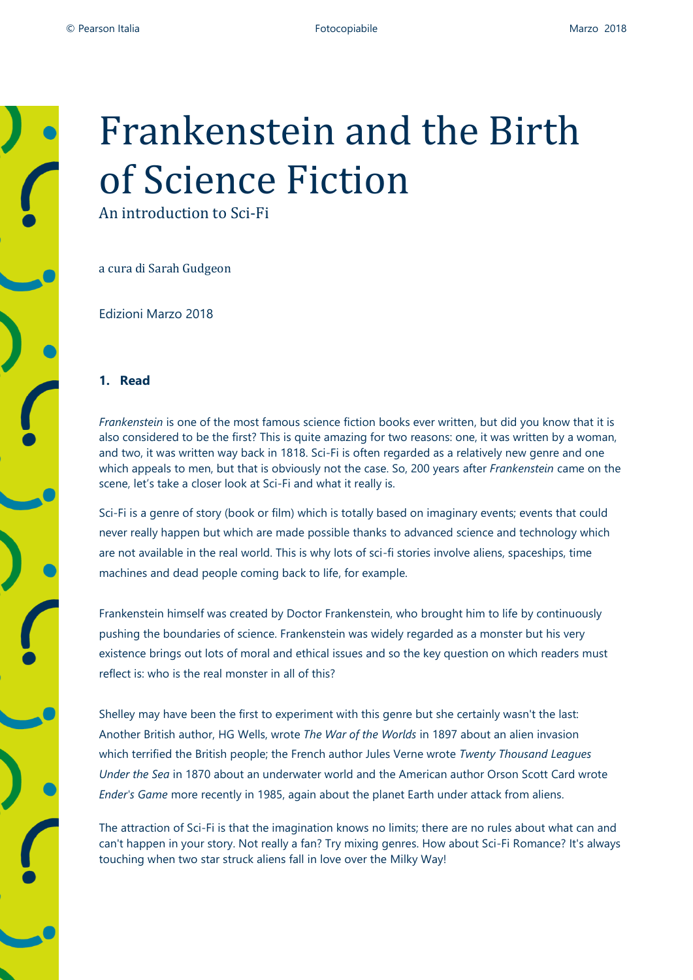

# Frankenstein and the Birth of Science Fiction

An introduction to Sci-Fi

a cura di Sarah Gudgeon

Edizioni Marzo 2018

#### **1. Read**

*Frankenstein* is one of the most famous science fiction books ever written, but did you know that it is also considered to be the first? This is quite amazing for two reasons: one, it was written by a woman, and two, it was written way back in 1818. Sci-Fi is often regarded as a relatively new genre and one which appeals to men, but that is obviously not the case. So, 200 years after *Frankenstein* came on the scene, let's take a closer look at Sci-Fi and what it really is.

Sci-Fi is a genre of story (book or film) which is totally based on imaginary events; events that could never really happen but which are made possible thanks to advanced science and technology which are not available in the real world. This is why lots of sci-fi stories involve aliens, spaceships, time machines and dead people coming back to life, for example.

Frankenstein himself was created by Doctor Frankenstein, who brought him to life by continuously pushing the boundaries of science. Frankenstein was widely regarded as a monster but his very existence brings out lots of moral and ethical issues and so the key question on which readers must reflect is: who is the real monster in all of this?

Shelley may have been the first to experiment with this genre but she certainly wasn't the last: Another British author, HG Wells, wrote *The War of the Worlds* in 1897 about an alien invasion which terrified the British people; the French author Jules Verne wrote *Twenty Thousand Leagues Under the Sea* in 1870 about an underwater world and the American author Orson Scott Card wrote *Ender's Game* more recently in 1985, again about the planet Earth under attack from aliens.

The attraction of Sci-Fi is that the imagination knows no limits; there are no rules about what can and can't happen in your story. Not really a fan? Try mixing genres. How about Sci-Fi Romance? It's always touching when two star struck aliens fall in love over the Milky Way!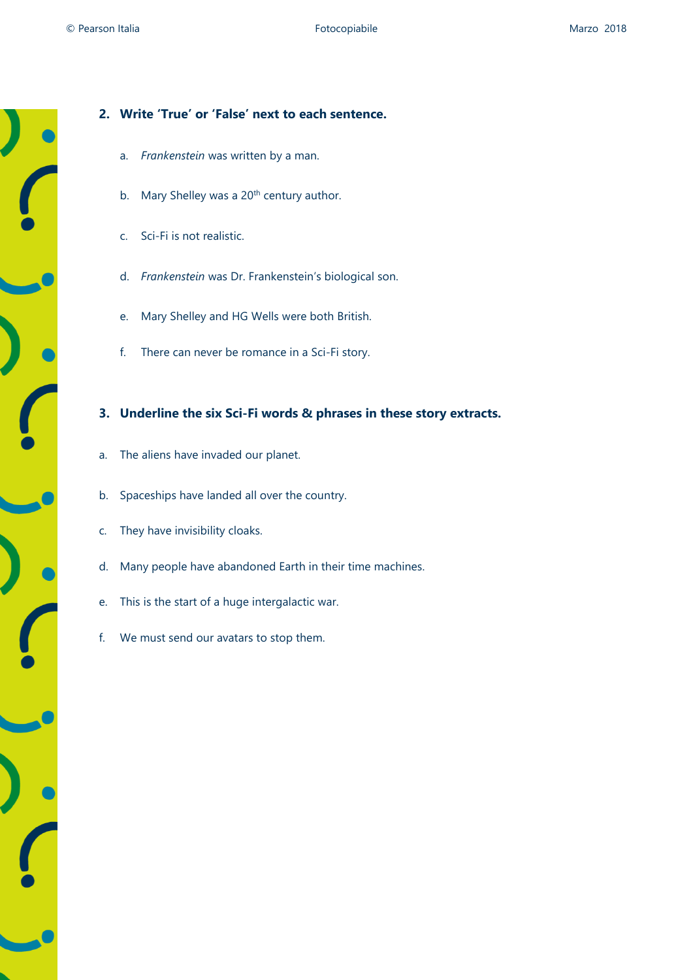# **2. Write 'True' or 'False' next to each sentence.**

- a. *Frankenstein* was written by a man.
- b. Mary Shelley was a 20<sup>th</sup> century author.
- c. Sci-Fi is not realistic.
- d. *Frankenstein* was Dr. Frankenstein's biological son.
- e. Mary Shelley and HG Wells were both British.
- f. There can never be romance in a Sci-Fi story.

## **3. Underline the six Sci-Fi words & phrases in these story extracts.**

- a. The aliens have invaded our planet.
- b. Spaceships have landed all over the country.
- c. They have invisibility cloaks.
- d. Many people have abandoned Earth in their time machines.
- e. This is the start of a huge intergalactic war.
- f. We must send our avatars to stop them.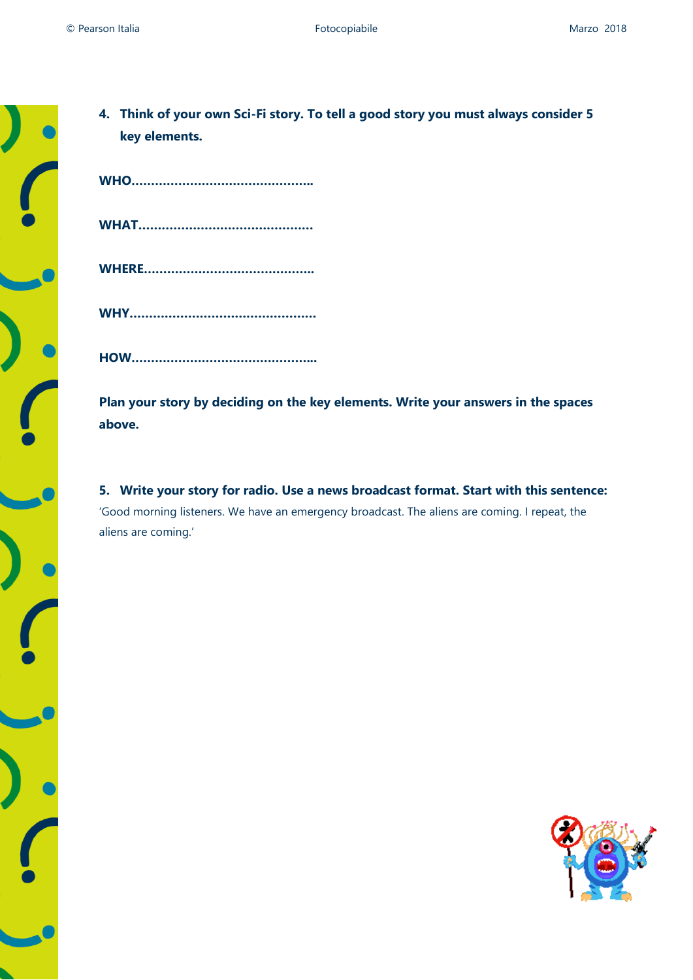

| 4. Think of your own Sci-Fi story. To tell a good story you must always consider 5 |
|------------------------------------------------------------------------------------|
| key elements.                                                                      |

**HOW………………………………………...**

**Plan your story by deciding on the key elements. Write your answers in the spaces above.**

**5. Write your story for radio. Use a news broadcast format. Start with this sentence:** 'Good morning listeners. We have an emergency broadcast. The aliens are coming. I repeat, the aliens are coming.'